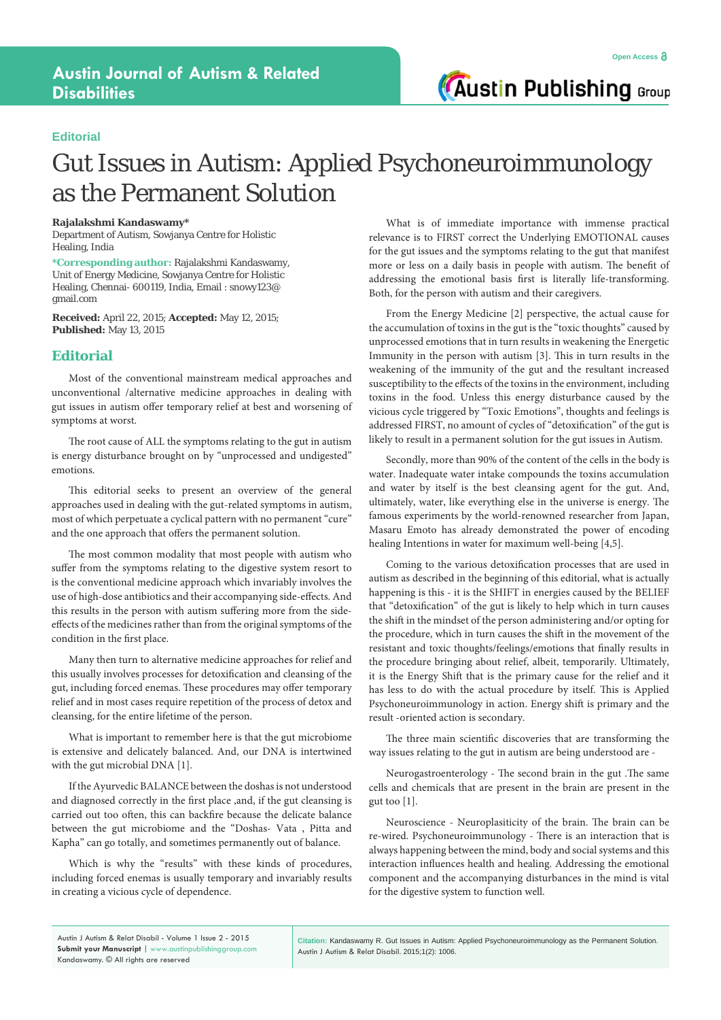**Austin Publishing Group** 

### **Editorial**

# Gut Issues in Autism: Applied Psychoneuroimmunology as the Permanent Solution

#### **Rajalakshmi Kandaswamy\***

Department of Autism, Sowjanya Centre for Holistic Healing, India

**\*Corresponding author:** Rajalakshmi Kandaswamy, Unit of Energy Medicine, Sowjanya Centre for Holistic Healing, Chennai- 600119, India, Email : snowy123@ gmail.com

**Received:** April 22, 2015; **Accepted:** May 12, 2015; **Published:** May 13, 2015

#### **Editorial**

Most of the conventional mainstream medical approaches and unconventional /alternative medicine approaches in dealing with gut issues in autism offer temporary relief at best and worsening of symptoms at worst.

The root cause of ALL the symptoms relating to the gut in autism is energy disturbance brought on by "unprocessed and undigested" emotions.

This editorial seeks to present an overview of the general approaches used in dealing with the gut-related symptoms in autism, most of which perpetuate a cyclical pattern with no permanent "cure" and the one approach that offers the permanent solution.

The most common modality that most people with autism who suffer from the symptoms relating to the digestive system resort to is the conventional medicine approach which invariably involves the use of high-dose antibiotics and their accompanying side-effects. And this results in the person with autism suffering more from the sideeffects of the medicines rather than from the original symptoms of the condition in the first place.

Many then turn to alternative medicine approaches for relief and this usually involves processes for detoxification and cleansing of the gut, including forced enemas. These procedures may offer temporary relief and in most cases require repetition of the process of detox and cleansing, for the entire lifetime of the person.

What is important to remember here is that the gut microbiome is extensive and delicately balanced. And, our DNA is intertwined with the gut microbial DNA [1].

If the Ayurvedic BALANCE between the doshas is not understood and diagnosed correctly in the first place ,and, if the gut cleansing is carried out too often, this can backfire because the delicate balance between the gut microbiome and the "Doshas- Vata , Pitta and Kapha" can go totally, and sometimes permanently out of balance.

Which is why the "results" with these kinds of procedures, including forced enemas is usually temporary and invariably results in creating a vicious cycle of dependence.

What is of immediate importance with immense practical relevance is to FIRST correct the Underlying EMOTIONAL causes for the gut issues and the symptoms relating to the gut that manifest more or less on a daily basis in people with autism. The benefit of addressing the emotional basis first is literally life-transforming. Both, for the person with autism and their caregivers.

From the Energy Medicine [2] perspective, the actual cause for the accumulation of toxins in the gut is the "toxic thoughts" caused by unprocessed emotions that in turn results in weakening the Energetic Immunity in the person with autism [3]. This in turn results in the weakening of the immunity of the gut and the resultant increased susceptibility to the effects of the toxins in the environment, including toxins in the food. Unless this energy disturbance caused by the vicious cycle triggered by "Toxic Emotions", thoughts and feelings is addressed FIRST, no amount of cycles of "detoxification" of the gut is likely to result in a permanent solution for the gut issues in Autism.

Secondly, more than 90% of the content of the cells in the body is water. Inadequate water intake compounds the toxins accumulation and water by itself is the best cleansing agent for the gut. And, ultimately, water, like everything else in the universe is energy. The famous experiments by the world-renowned researcher from Japan, Masaru Emoto has already demonstrated the power of encoding healing Intentions in water for maximum well-being [4,5].

Coming to the various detoxification processes that are used in autism as described in the beginning of this editorial, what is actually happening is this - it is the SHIFT in energies caused by the BELIEF that "detoxification" of the gut is likely to help which in turn causes the shift in the mindset of the person administering and/or opting for the procedure, which in turn causes the shift in the movement of the resistant and toxic thoughts/feelings/emotions that finally results in the procedure bringing about relief, albeit, temporarily. Ultimately, it is the Energy Shift that is the primary cause for the relief and it has less to do with the actual procedure by itself. This is Applied Psychoneuroimmunology in action. Energy shift is primary and the result -oriented action is secondary.

The three main scientific discoveries that are transforming the way issues relating to the gut in autism are being understood are -

Neurogastroenterology - The second brain in the gut .The same cells and chemicals that are present in the brain are present in the gut too [1].

Neuroscience - Neuroplasiticity of the brain. The brain can be re-wired. Psychoneuroimmunology - There is an interaction that is always happening between the mind, body and social systems and this interaction influences health and healing. Addressing the emotional component and the accompanying disturbances in the mind is vital for the digestive system to function well.

**Citation:** Kandaswamy R. Gut Issues in Autism: Applied Psychoneuroimmunology as the Permanent Solution. Austin J Autism & Relat Disabil. 2015;1(2): 1006.